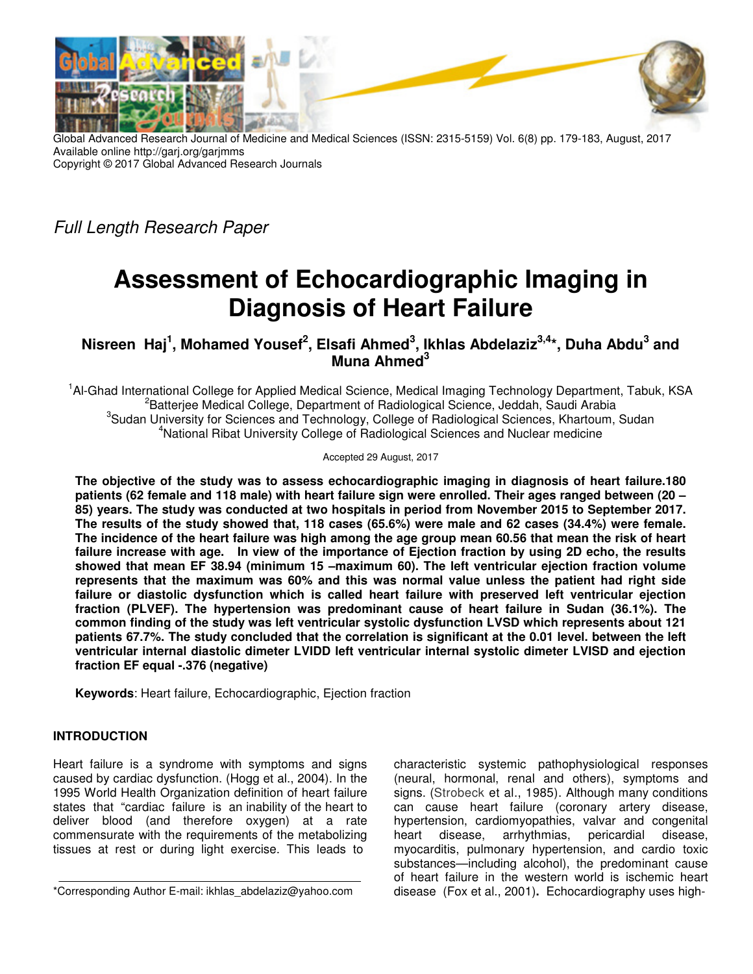

Global Advanced Research Journal of Medicine and Medical Sciences (ISSN: 2315-5159) Vol. 6(8) pp. 179-183, August, 2017 Available online http://garj.org/garjmms Copyright © 2017 Global Advanced Research Journals

Full Length Research Paper

# **Assessment of Echocardiographic Imaging in Diagnosis of Heart Failure**

**Nisreen Haj<sup>1</sup> , Mohamed Yousef<sup>2</sup> , Elsafi Ahmed<sup>3</sup> , Ikhlas Abdelaziz3,4\*, Duha Abdu<sup>3</sup> and Muna Ahmed<sup>3</sup>**

<sup>1</sup>Al-Ghad International College for Applied Medical Science, Medical Imaging Technology Department, Tabuk, KSA <sup>2</sup>Batterjee Medical College, Department of Radiological Science, Jeddah, Saudi Arabia <sup>3</sup>Sudan University for Sciences and Technology, College of Radiological Sciences, Khartoum, Sudan <sup>4</sup>National Ribat University College of Radiological Sciences and Nuclear medicine

Accepted 29 August, 2017

**The objective of the study was to assess echocardiographic imaging in diagnosis of heart failure.180 patients (62 female and 118 male) with heart failure sign were enrolled. Their ages ranged between (20 – 85) years. The study was conducted at two hospitals in period from November 2015 to September 2017. The results of the study showed that, 118 cases (65.6%) were male and 62 cases (34.4%) were female. The incidence of the heart failure was high among the age group mean 60.56 that mean the risk of heart failure increase with age. In view of the importance of Ejection fraction by using 2D echo, the results showed that mean EF 38.94 (minimum 15 –maximum 60). The left ventricular ejection fraction volume represents that the maximum was 60% and this was normal value unless the patient had right side failure or diastolic dysfunction which is called heart failure with preserved left ventricular ejection fraction (PLVEF). The hypertension was predominant cause of heart failure in Sudan (36.1%). The common finding of the study was left ventricular systolic dysfunction LVSD which represents about 121 patients 67.7%. The study concluded that the correlation is significant at the 0.01 level. between the left ventricular internal diastolic dimeter LVIDD left ventricular internal systolic dimeter LVISD and ejection fraction EF equal -.376 (negative)** 

**Keywords**: Heart failure, Echocardiographic, Ejection fraction

### **INTRODUCTION**

Heart failure is a syndrome with symptoms and signs caused by cardiac dysfunction. (Hogg et al., 2004). In the 1995 World Health Organization definition of heart failure states that "cardiac failure is an inability of the heart to deliver blood (and therefore oxygen) at a rate commensurate with the requirements of the metabolizing tissues at rest or during light exercise. This leads to

characteristic systemic pathophysiological responses (neural, hormonal, renal and others), symptoms and signs. (Strobeck et al., 1985). Although many conditions can cause heart failure (coronary artery disease, hypertension, cardiomyopathies, valvar and congenital heart disease, arrhythmias, pericardial disease, myocarditis, pulmonary hypertension, and cardio toxic substances—including alcohol), the predominant cause of heart failure in the western world is ischemic heart disease (Fox et al., 2001)**.** Echocardiography uses high-

<sup>\*</sup>Corresponding Author E-mail: ikhlas\_abdelaziz@yahoo.com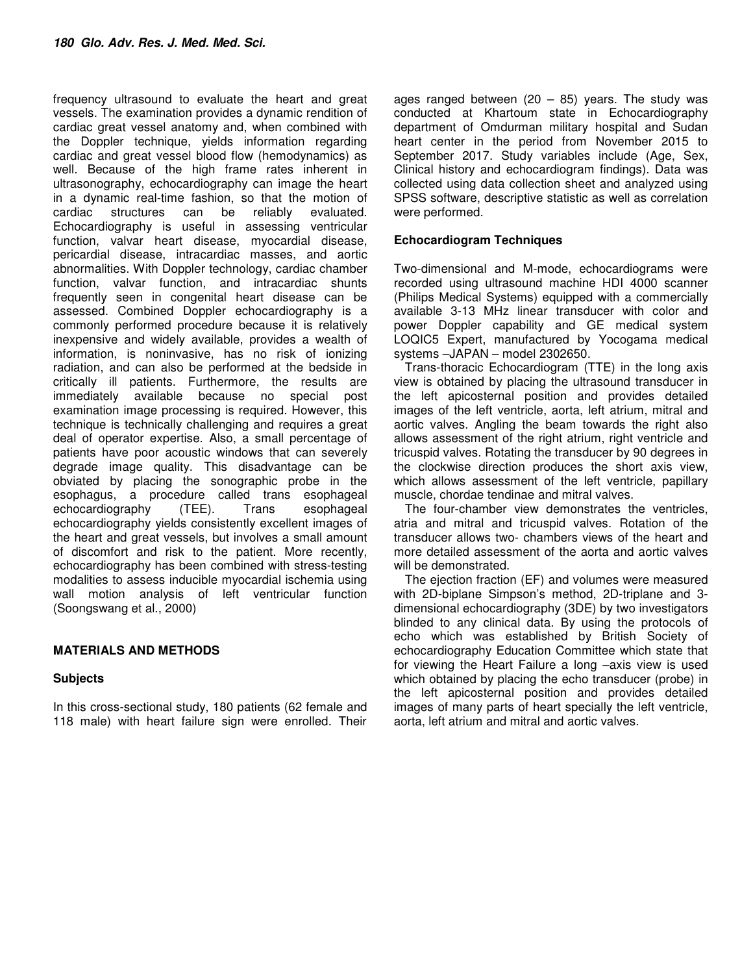frequency ultrasound to evaluate the heart and great vessels. The examination provides a dynamic rendition of cardiac great vessel anatomy and, when combined with the Doppler technique, yields information regarding cardiac and great vessel blood flow (hemodynamics) as well. Because of the high frame rates inherent in ultrasonography, echocardiography can image the heart in a dynamic real-time fashion, so that the motion of cardiac structures can be reliably evaluated. Echocardiography is useful in assessing ventricular function, valvar heart disease, myocardial disease, pericardial disease, intracardiac masses, and aortic abnormalities. With Doppler technology, cardiac chamber function, valvar function, and intracardiac shunts frequently seen in congenital heart disease can be assessed. Combined Doppler echocardiography is a commonly performed procedure because it is relatively inexpensive and widely available, provides a wealth of information, is noninvasive, has no risk of ionizing radiation, and can also be performed at the bedside in critically ill patients. Furthermore, the results are immediately available because no special post examination image processing is required. However, this technique is technically challenging and requires a great deal of operator expertise. Also, a small percentage of patients have poor acoustic windows that can severely degrade image quality. This disadvantage can be obviated by placing the sonographic probe in the esophagus, a procedure called trans esophageal echocardiography (TEE). Trans esophageal echocardiography yields consistently excellent images of the heart and great vessels, but involves a small amount of discomfort and risk to the patient. More recently, echocardiography has been combined with stress-testing modalities to assess inducible myocardial ischemia using wall motion analysis of left ventricular function (Soongswang et al., 2000)

## **MATERIALS AND METHODS**

### **Subjects**

In this cross-sectional study, 180 patients (62 female and 118 male) with heart failure sign were enrolled. Their

ages ranged between  $(20 - 85)$  years. The study was conducted at Khartoum state in Echocardiography department of Omdurman military hospital and Sudan heart center in the period from November 2015 to September 2017. Study variables include (Age, Sex, Clinical history and echocardiogram findings). Data was collected using data collection sheet and analyzed using SPSS software, descriptive statistic as well as correlation were performed.

### **Echocardiogram Techniques**

Two-dimensional and M-mode, echocardiograms were recorded using ultrasound machine HDI 4000 scanner (Philips Medical Systems) equipped with a commercially available 3-13 MHz linear transducer with color and power Doppler capability and GE medical system LOQIC5 Expert, manufactured by Yocogama medical systems –JAPAN – model 2302650.

Trans-thoracic Echocardiogram (TTE) in the long axis view is obtained by placing the ultrasound transducer in the left apicosternal position and provides detailed images of the left ventricle, aorta, left atrium, mitral and aortic valves. Angling the beam towards the right also allows assessment of the right atrium, right ventricle and tricuspid valves. Rotating the transducer by 90 degrees in the clockwise direction produces the short axis view, which allows assessment of the left ventricle, papillary muscle, chordae tendinae and mitral valves.

The four-chamber view demonstrates the ventricles, atria and mitral and tricuspid valves. Rotation of the transducer allows two- chambers views of the heart and more detailed assessment of the aorta and aortic valves will be demonstrated.

The ejection fraction (EF) and volumes were measured with 2D-biplane Simpson's method, 2D-triplane and 3 dimensional echocardiography (3DE) by two investigators blinded to any clinical data. By using the protocols of echo which was established by British Society of echocardiography Education Committee which state that for viewing the Heart Failure a long –axis view is used which obtained by placing the echo transducer (probe) in the left apicosternal position and provides detailed images of many parts of heart specially the left ventricle, aorta, left atrium and mitral and aortic valves.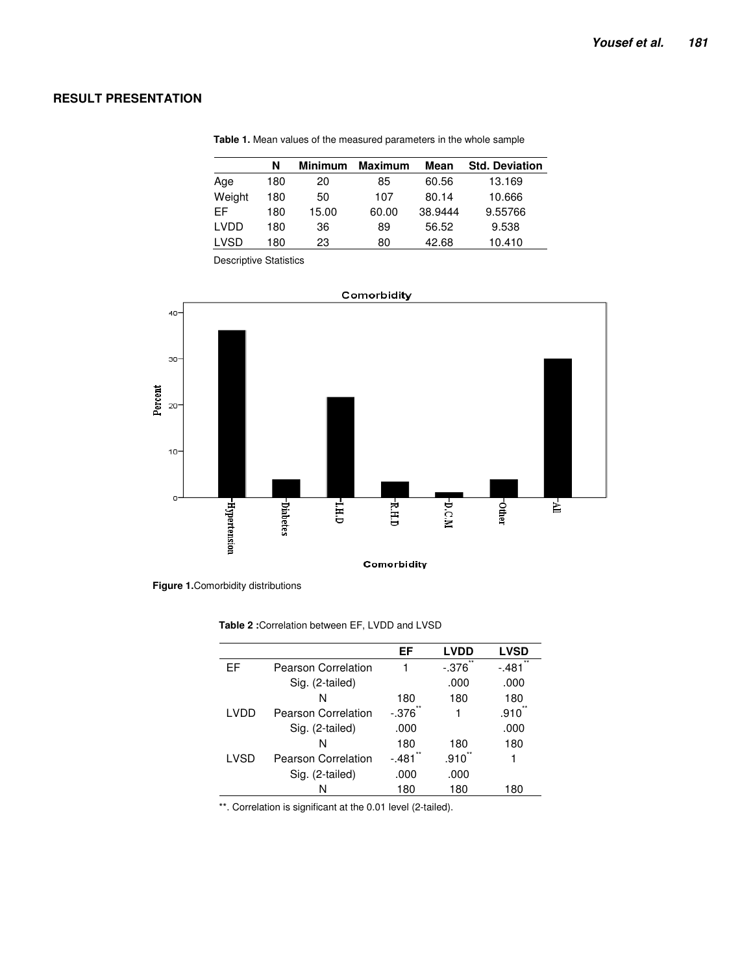## **RESULT PRESENTATION**

| N   | <b>Minimum</b> | <b>Maximum</b> | Mean    | <b>Std. Deviation</b> |
|-----|----------------|----------------|---------|-----------------------|
| 180 | 20             | 85             | 60.56   | 13.169                |
| 180 | 50             | 107            | 80.14   | 10.666                |
| 180 | 15.00          | 60.00          | 38.9444 | 9.55766               |
| 180 | 36             | 89             | 56.52   | 9.538                 |
| 180 | 23             | 80             | 42.68   | 10.410                |
|     |                |                |         |                       |

**Table 1.** Mean values of the measured parameters in the whole sample

Descriptive Statistics





**Table 2 :**Correlation between EF, LVDD and LVSD

|       |                            | EF      | <b>LVDD</b>      | <b>LVSD</b>      |
|-------|----------------------------|---------|------------------|------------------|
| EF    | <b>Pearson Correlation</b> | 1       | $***$<br>$-.376$ | $***$<br>$-.481$ |
|       | Sig. (2-tailed)            |         | .000             | .000             |
|       | N                          | 180     | 180              | 180              |
| I VDD | Pearson Correlation        | $-.376$ |                  | .910             |
|       | Sig. (2-tailed)            | .000    |                  | .000             |
|       | N                          | 180     | 180              | 180              |
| LVSD  | Pearson Correlation        | $-.481$ | .910             | 1                |
|       | Sig. (2-tailed)            | .000    | .000             |                  |
|       | N                          | 180     | 180              | 180              |

\*\*. Correlation is significant at the 0.01 level (2-tailed).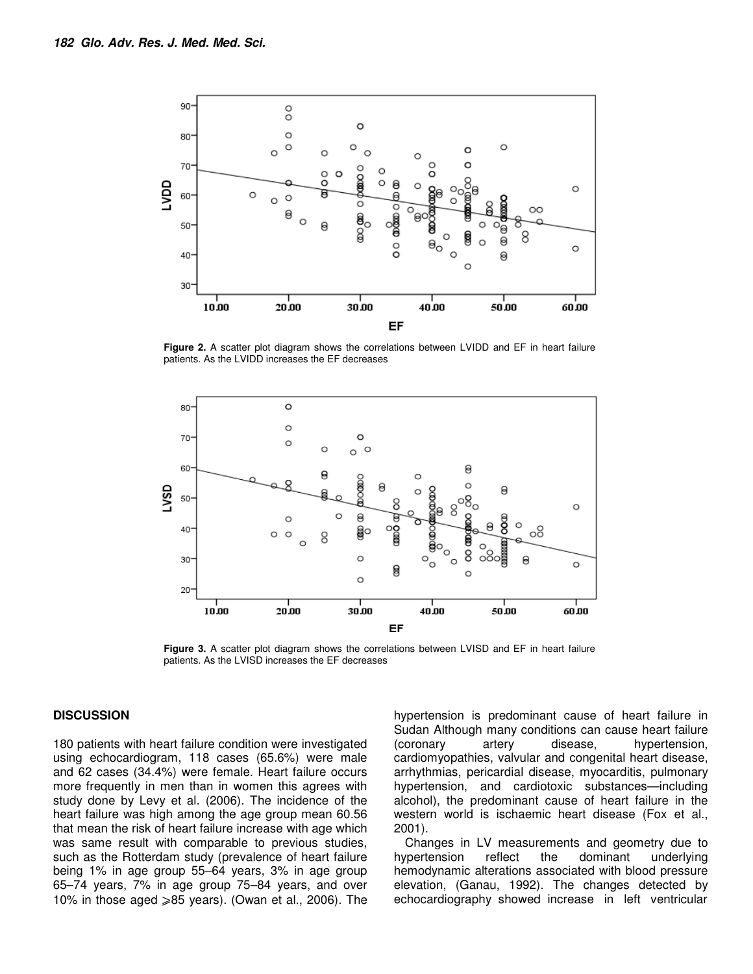

**Figure 2.** A scatter plot diagram shows the correlations between LVIDD and EF in heart failure patients. As the LVIDD increases the EF decreases



**Figure 3.** A scatter plot diagram shows the correlations between LVISD and EF in heart failure patients. As the LVISD increases the EF decreases

#### **DISCUSSION**

180 patients with heart failure condition were investigated using echocardiogram, 118 cases (65.6%) were male and 62 cases (34.4%) were female. Heart failure occurs more frequently in men than in women this agrees with study done by Levy et al. (2006). The incidence of the heart failure was high among the age group mean 60.56 that mean the risk of heart failure increase with age which was same result with comparable to previous studies, such as the Rotterdam study (prevalence of heart failure being 1% in age group 55–64 years, 3% in age group 65–74 years, 7% in age group 75–84 years, and over 10% in those aged  $\geq 85$  years). (Owan et al., 2006). The

hypertension is predominant cause of heart failure in Sudan Although many conditions can cause heart failure (coronary artery disease, hypertension, cardiomyopathies, valvular and congenital heart disease, arrhythmias, pericardial disease, myocarditis, pulmonary hypertension, and cardiotoxic substances—including alcohol), the predominant cause of heart failure in the western world is ischaemic heart disease (Fox et al., 2001).

Changes in LV measurements and geometry due to hypertension reflect the dominant underlying hemodynamic alterations associated with blood pressure elevation, (Ganau, 1992). The changes detected by echocardiography showed increase in left ventricular